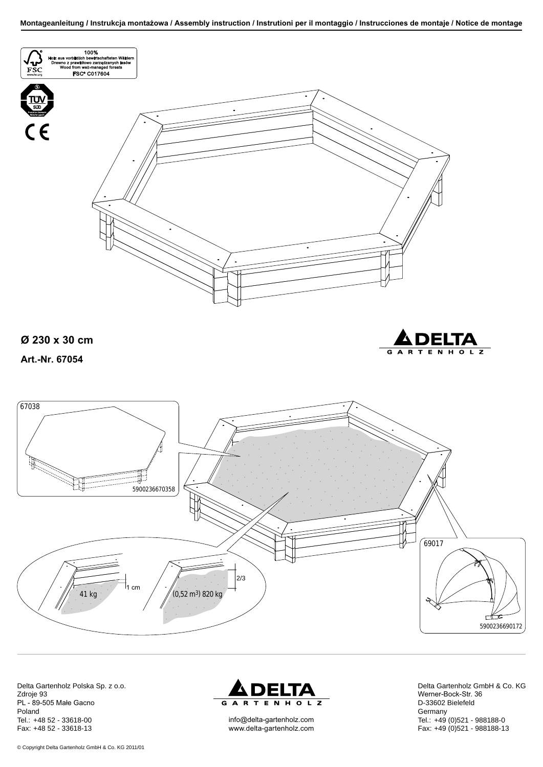

Delta Gartenholz Polska Sp. z o.o. Zdroje 93 PL - 89-505 Małe Gacno Poland Tel.: +48 52 - 33618-00 Fax: +48 52 - 33618-13



info@delta-gartenholz.com www.delta-gartenholz.com Delta Gartenholz GmbH & Co. KG Werner-Bock-Str. 36 D-33602 Bielefeld **Germany** Tel.: +49 (0)521 - 988188-0 Fax: +49 (0)521 - 988188-13

© Copyright Delta Gartenholz GmbH & Co. KG 2011/01